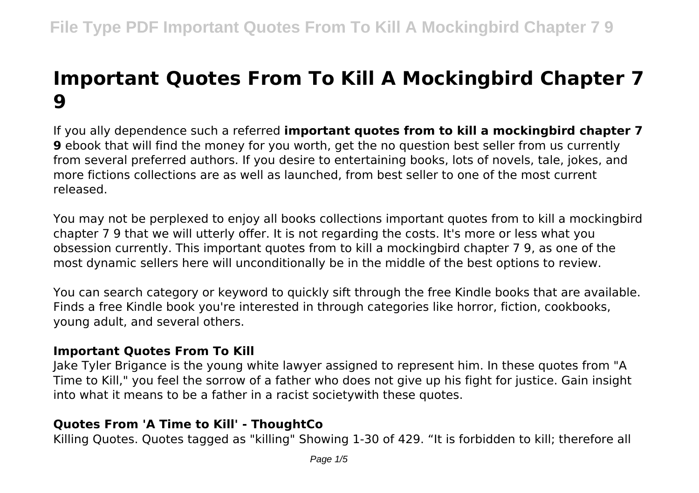# **Important Quotes From To Kill A Mockingbird Chapter 7 9**

If you ally dependence such a referred **important quotes from to kill a mockingbird chapter 7 9** ebook that will find the money for you worth, get the no question best seller from us currently from several preferred authors. If you desire to entertaining books, lots of novels, tale, jokes, and more fictions collections are as well as launched, from best seller to one of the most current released.

You may not be perplexed to enjoy all books collections important quotes from to kill a mockingbird chapter 7 9 that we will utterly offer. It is not regarding the costs. It's more or less what you obsession currently. This important quotes from to kill a mockingbird chapter 7 9, as one of the most dynamic sellers here will unconditionally be in the middle of the best options to review.

You can search category or keyword to quickly sift through the free Kindle books that are available. Finds a free Kindle book you're interested in through categories like horror, fiction, cookbooks, young adult, and several others.

### **Important Quotes From To Kill**

Jake Tyler Brigance is the young white lawyer assigned to represent him. In these quotes from "A Time to Kill," you feel the sorrow of a father who does not give up his fight for justice. Gain insight into what it means to be a father in a racist societywith these quotes.

# **Quotes From 'A Time to Kill' - ThoughtCo**

Killing Quotes. Quotes tagged as "killing" Showing 1-30 of 429. "It is forbidden to kill; therefore all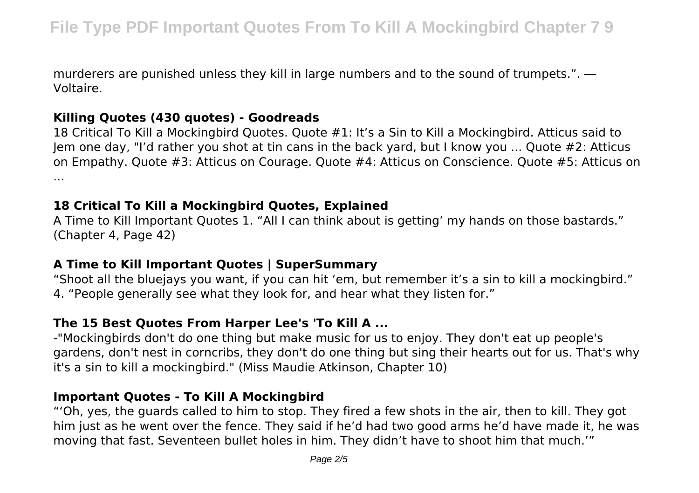murderers are punished unless they kill in large numbers and to the sound of trumpets.". ― Voltaire.

#### **Killing Quotes (430 quotes) - Goodreads**

18 Critical To Kill a Mockingbird Quotes. Quote #1: It's a Sin to Kill a Mockingbird. Atticus said to Jem one day, "I'd rather you shot at tin cans in the back yard, but I know you ... Quote #2: Atticus on Empathy. Quote #3: Atticus on Courage. Quote #4: Atticus on Conscience. Quote #5: Atticus on ...

### **18 Critical To Kill a Mockingbird Quotes, Explained**

A Time to Kill Important Quotes 1. "All I can think about is getting' my hands on those bastards." (Chapter 4, Page 42)

## **A Time to Kill Important Quotes | SuperSummary**

"Shoot all the bluejays you want, if you can hit 'em, but remember it's a sin to kill a mockingbird." 4. "People generally see what they look for, and hear what they listen for."

# **The 15 Best Quotes From Harper Lee's 'To Kill A ...**

-"Mockingbirds don't do one thing but make music for us to enjoy. They don't eat up people's gardens, don't nest in corncribs, they don't do one thing but sing their hearts out for us. That's why it's a sin to kill a mockingbird." (Miss Maudie Atkinson, Chapter 10)

# **Important Quotes - To Kill A Mockingbird**

"'Oh, yes, the guards called to him to stop. They fired a few shots in the air, then to kill. They got him just as he went over the fence. They said if he'd had two good arms he'd have made it, he was moving that fast. Seventeen bullet holes in him. They didn't have to shoot him that much.'"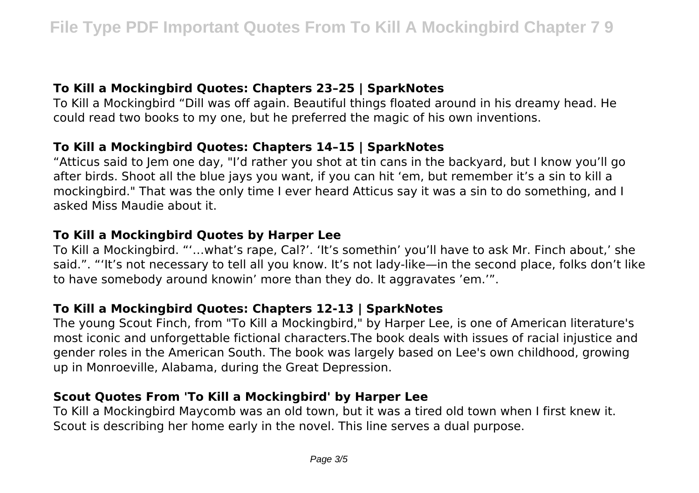## **To Kill a Mockingbird Quotes: Chapters 23–25 | SparkNotes**

To Kill a Mockingbird "Dill was off again. Beautiful things floated around in his dreamy head. He could read two books to my one, but he preferred the magic of his own inventions.

## **To Kill a Mockingbird Quotes: Chapters 14–15 | SparkNotes**

"Atticus said to Jem one day, "I'd rather you shot at tin cans in the backyard, but I know you'll go after birds. Shoot all the blue jays you want, if you can hit 'em, but remember it's a sin to kill a mockingbird." That was the only time I ever heard Atticus say it was a sin to do something, and I asked Miss Maudie about it.

#### **To Kill a Mockingbird Quotes by Harper Lee**

To Kill a Mockingbird. "'…what's rape, Cal?'. 'It's somethin' you'll have to ask Mr. Finch about,' she said.". "'It's not necessary to tell all you know. It's not lady-like—in the second place, folks don't like to have somebody around knowin' more than they do. It aggravates 'em.'".

#### **To Kill a Mockingbird Quotes: Chapters 12-13 | SparkNotes**

The young Scout Finch, from "To Kill a Mockingbird," by Harper Lee, is one of American literature's most iconic and unforgettable fictional characters.The book deals with issues of racial injustice and gender roles in the American South. The book was largely based on Lee's own childhood, growing up in Monroeville, Alabama, during the Great Depression.

#### **Scout Quotes From 'To Kill a Mockingbird' by Harper Lee**

To Kill a Mockingbird Maycomb was an old town, but it was a tired old town when I first knew it. Scout is describing her home early in the novel. This line serves a dual purpose.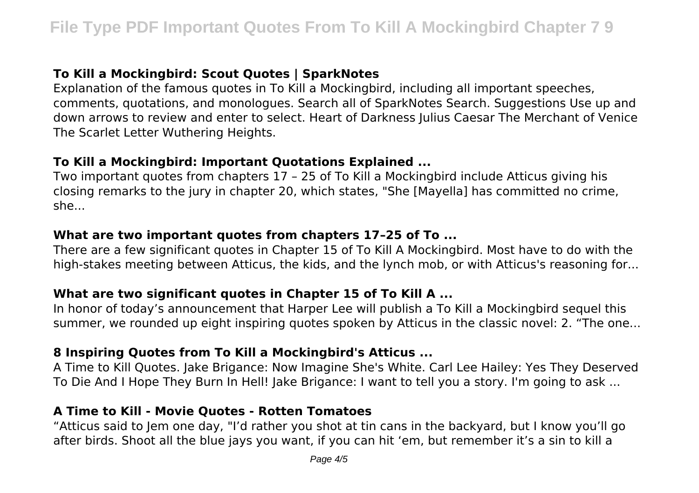# **To Kill a Mockingbird: Scout Quotes | SparkNotes**

Explanation of the famous quotes in To Kill a Mockingbird, including all important speeches, comments, quotations, and monologues. Search all of SparkNotes Search. Suggestions Use up and down arrows to review and enter to select. Heart of Darkness Julius Caesar The Merchant of Venice The Scarlet Letter Wuthering Heights.

#### **To Kill a Mockingbird: Important Quotations Explained ...**

Two important quotes from chapters 17 – 25 of To Kill a Mockingbird include Atticus giving his closing remarks to the jury in chapter 20, which states, "She [Mayella] has committed no crime, she...

#### **What are two important quotes from chapters 17–25 of To ...**

There are a few significant quotes in Chapter 15 of To Kill A Mockingbird. Most have to do with the high-stakes meeting between Atticus, the kids, and the lynch mob, or with Atticus's reasoning for...

### **What are two significant quotes in Chapter 15 of To Kill A ...**

In honor of today's announcement that Harper Lee will publish a To Kill a Mockingbird sequel this summer, we rounded up eight inspiring quotes spoken by Atticus in the classic novel: 2. "The one...

### **8 Inspiring Quotes from To Kill a Mockingbird's Atticus ...**

A Time to Kill Quotes. Jake Brigance: Now Imagine She's White. Carl Lee Hailey: Yes They Deserved To Die And I Hope They Burn In Hell! Jake Brigance: I want to tell you a story. I'm going to ask ...

#### **A Time to Kill - Movie Quotes - Rotten Tomatoes**

"Atticus said to Jem one day, "I'd rather you shot at tin cans in the backyard, but I know you'll go after birds. Shoot all the blue jays you want, if you can hit 'em, but remember it's a sin to kill a